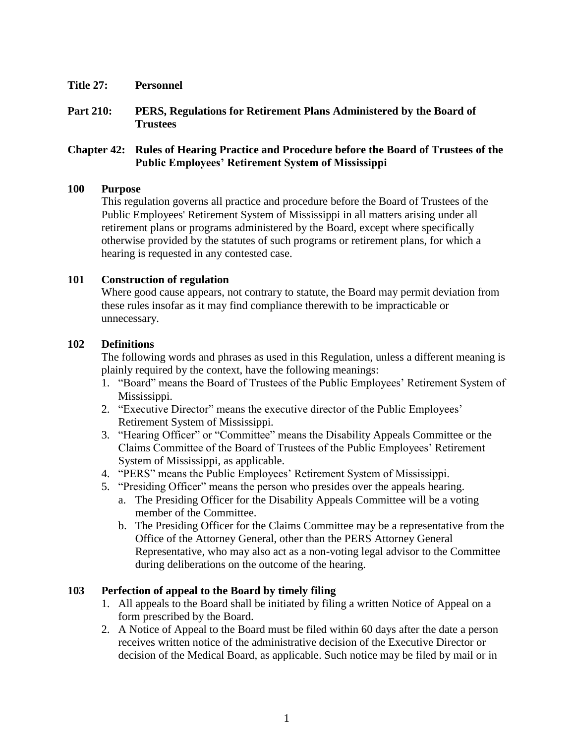- **Title 27: Personnel**
- **Part 210: PERS, Regulations for Retirement Plans Administered by the Board of Trustees**

# **Chapter 42: Rules of Hearing Practice and Procedure before the Board of Trustees of the Public Employees' Retirement System of Mississippi**

#### **100 Purpose**

This regulation governs all practice and procedure before the Board of Trustees of the Public Employees' Retirement System of Mississippi in all matters arising under all retirement plans or programs administered by the Board, except where specifically otherwise provided by the statutes of such programs or retirement plans, for which a hearing is requested in any contested case.

### **101 Construction of regulation**

Where good cause appears, not contrary to statute, the Board may permit deviation from these rules insofar as it may find compliance therewith to be impracticable or unnecessary.

### **102 Definitions**

The following words and phrases as used in this Regulation, unless a different meaning is plainly required by the context, have the following meanings:

- 1. "Board" means the Board of Trustees of the Public Employees' Retirement System of Mississippi.
- 2. "Executive Director" means the executive director of the Public Employees' Retirement System of Mississippi.
- 3. "Hearing Officer" or "Committee" means the Disability Appeals Committee or the Claims Committee of the Board of Trustees of the Public Employees' Retirement System of Mississippi, as applicable.
- 4. "PERS" means the Public Employees' Retirement System of Mississippi.
- 5. "Presiding Officer" means the person who presides over the appeals hearing.
	- a. The Presiding Officer for the Disability Appeals Committee will be a voting member of the Committee.
	- b. The Presiding Officer for the Claims Committee may be a representative from the Office of the Attorney General, other than the PERS Attorney General Representative, who may also act as a non-voting legal advisor to the Committee during deliberations on the outcome of the hearing.

### **103 Perfection of appeal to the Board by timely filing**

- 1. All appeals to the Board shall be initiated by filing a written Notice of Appeal on a form prescribed by the Board.
- 2. A Notice of Appeal to the Board must be filed within 60 days after the date a person receives written notice of the administrative decision of the Executive Director or decision of the Medical Board, as applicable. Such notice may be filed by mail or in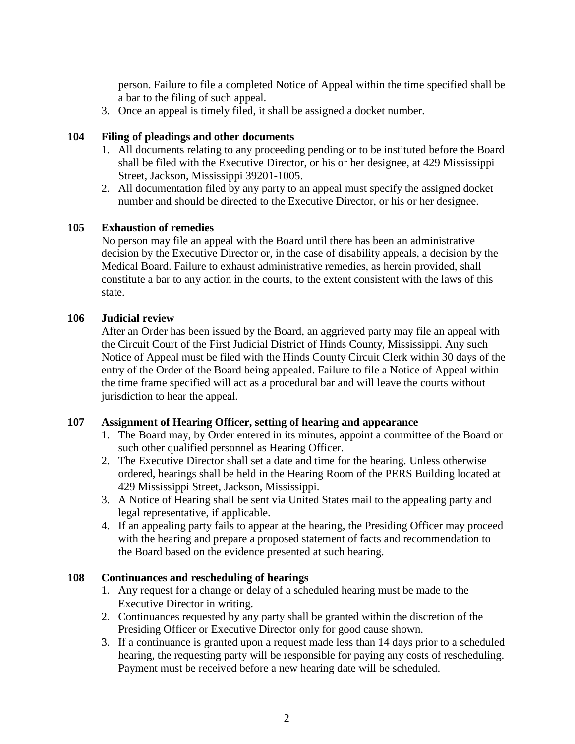person. Failure to file a completed Notice of Appeal within the time specified shall be a bar to the filing of such appeal.

3. Once an appeal is timely filed, it shall be assigned a docket number.

# **104 Filing of pleadings and other documents**

- 1. All documents relating to any proceeding pending or to be instituted before the Board shall be filed with the Executive Director, or his or her designee, at 429 Mississippi Street, Jackson, Mississippi 39201-1005.
- 2. All documentation filed by any party to an appeal must specify the assigned docket number and should be directed to the Executive Director, or his or her designee.

# **105 Exhaustion of remedies**

No person may file an appeal with the Board until there has been an administrative decision by the Executive Director or, in the case of disability appeals, a decision by the Medical Board. Failure to exhaust administrative remedies, as herein provided, shall constitute a bar to any action in the courts, to the extent consistent with the laws of this state.

# **106 Judicial review**

After an Order has been issued by the Board, an aggrieved party may file an appeal with the Circuit Court of the First Judicial District of Hinds County, Mississippi. Any such Notice of Appeal must be filed with the Hinds County Circuit Clerk within 30 days of the entry of the Order of the Board being appealed. Failure to file a Notice of Appeal within the time frame specified will act as a procedural bar and will leave the courts without jurisdiction to hear the appeal.

### **107 Assignment of Hearing Officer, setting of hearing and appearance**

- 1. The Board may, by Order entered in its minutes, appoint a committee of the Board or such other qualified personnel as Hearing Officer.
- 2. The Executive Director shall set a date and time for the hearing. Unless otherwise ordered, hearings shall be held in the Hearing Room of the PERS Building located at 429 Mississippi Street, Jackson, Mississippi.
- 3. A Notice of Hearing shall be sent via United States mail to the appealing party and legal representative, if applicable.
- 4. If an appealing party fails to appear at the hearing, the Presiding Officer may proceed with the hearing and prepare a proposed statement of facts and recommendation to the Board based on the evidence presented at such hearing.

### **108 Continuances and rescheduling of hearings**

- 1. Any request for a change or delay of a scheduled hearing must be made to the Executive Director in writing.
- 2. Continuances requested by any party shall be granted within the discretion of the Presiding Officer or Executive Director only for good cause shown.
- 3. If a continuance is granted upon a request made less than 14 days prior to a scheduled hearing, the requesting party will be responsible for paying any costs of rescheduling. Payment must be received before a new hearing date will be scheduled.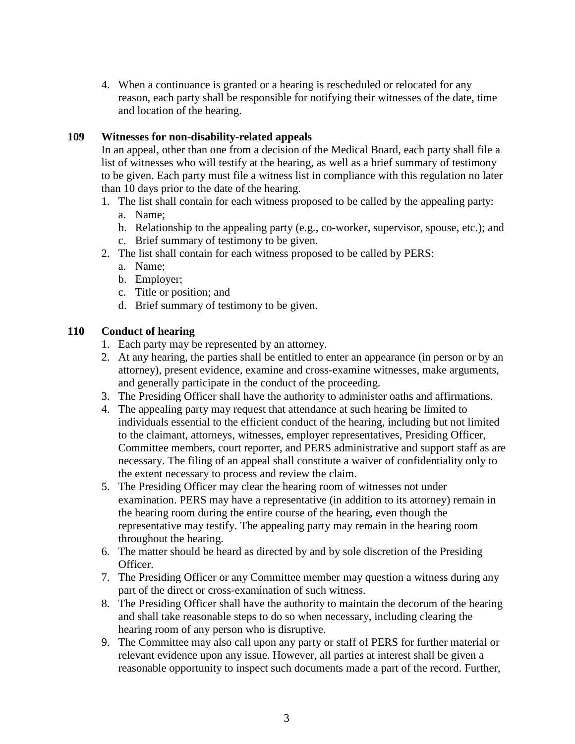4. When a continuance is granted or a hearing is rescheduled or relocated for any reason, each party shall be responsible for notifying their witnesses of the date, time and location of the hearing.

# **109 Witnesses for non-disability-related appeals**

In an appeal, other than one from a decision of the Medical Board, each party shall file a list of witnesses who will testify at the hearing, as well as a brief summary of testimony to be given. Each party must file a witness list in compliance with this regulation no later than 10 days prior to the date of the hearing.

- 1. The list shall contain for each witness proposed to be called by the appealing party:
	- a. Name;
	- b. Relationship to the appealing party (e.g., co-worker, supervisor, spouse, etc.); and
	- c. Brief summary of testimony to be given.
- 2. The list shall contain for each witness proposed to be called by PERS:
	- a. Name;
	- b. Employer;
	- c. Title or position; and
	- d. Brief summary of testimony to be given.

# **110 Conduct of hearing**

- 1. Each party may be represented by an attorney.
- 2. At any hearing, the parties shall be entitled to enter an appearance (in person or by an attorney), present evidence, examine and cross-examine witnesses, make arguments, and generally participate in the conduct of the proceeding.
- 3. The Presiding Officer shall have the authority to administer oaths and affirmations.
- 4. The appealing party may request that attendance at such hearing be limited to individuals essential to the efficient conduct of the hearing, including but not limited to the claimant, attorneys, witnesses, employer representatives, Presiding Officer, Committee members, court reporter, and PERS administrative and support staff as are necessary. The filing of an appeal shall constitute a waiver of confidentiality only to the extent necessary to process and review the claim.
- 5. The Presiding Officer may clear the hearing room of witnesses not under examination. PERS may have a representative (in addition to its attorney) remain in the hearing room during the entire course of the hearing, even though the representative may testify. The appealing party may remain in the hearing room throughout the hearing.
- 6. The matter should be heard as directed by and by sole discretion of the Presiding Officer.
- 7. The Presiding Officer or any Committee member may question a witness during any part of the direct or cross-examination of such witness.
- 8. The Presiding Officer shall have the authority to maintain the decorum of the hearing and shall take reasonable steps to do so when necessary, including clearing the hearing room of any person who is disruptive.
- 9. The Committee may also call upon any party or staff of PERS for further material or relevant evidence upon any issue. However, all parties at interest shall be given a reasonable opportunity to inspect such documents made a part of the record. Further,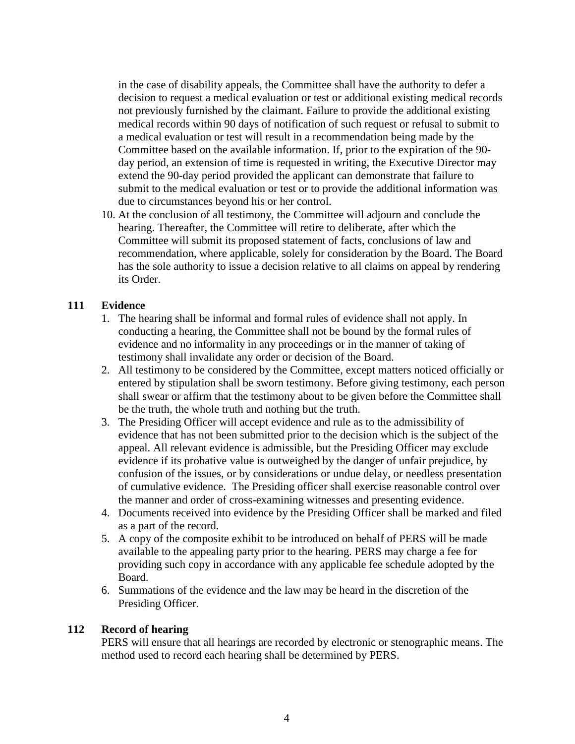in the case of disability appeals, the Committee shall have the authority to defer a decision to request a medical evaluation or test or additional existing medical records not previously furnished by the claimant. Failure to provide the additional existing medical records within 90 days of notification of such request or refusal to submit to a medical evaluation or test will result in a recommendation being made by the Committee based on the available information. If, prior to the expiration of the 90 day period, an extension of time is requested in writing, the Executive Director may extend the 90-day period provided the applicant can demonstrate that failure to submit to the medical evaluation or test or to provide the additional information was due to circumstances beyond his or her control.

10. At the conclusion of all testimony, the Committee will adjourn and conclude the hearing. Thereafter, the Committee will retire to deliberate, after which the Committee will submit its proposed statement of facts, conclusions of law and recommendation, where applicable, solely for consideration by the Board. The Board has the sole authority to issue a decision relative to all claims on appeal by rendering its Order.

# **111 Evidence**

- 1. The hearing shall be informal and formal rules of evidence shall not apply. In conducting a hearing, the Committee shall not be bound by the formal rules of evidence and no informality in any proceedings or in the manner of taking of testimony shall invalidate any order or decision of the Board.
- 2. All testimony to be considered by the Committee, except matters noticed officially or entered by stipulation shall be sworn testimony. Before giving testimony, each person shall swear or affirm that the testimony about to be given before the Committee shall be the truth, the whole truth and nothing but the truth.
- 3. The Presiding Officer will accept evidence and rule as to the admissibility of evidence that has not been submitted prior to the decision which is the subject of the appeal. All relevant evidence is admissible, but the Presiding Officer may exclude evidence if its probative value is outweighed by the danger of unfair prejudice, by confusion of the issues, or by considerations or undue delay, or needless presentation of cumulative evidence. The Presiding officer shall exercise reasonable control over the manner and order of cross-examining witnesses and presenting evidence.
- 4. Documents received into evidence by the Presiding Officer shall be marked and filed as a part of the record.
- 5. A copy of the composite exhibit to be introduced on behalf of PERS will be made available to the appealing party prior to the hearing. PERS may charge a fee for providing such copy in accordance with any applicable fee schedule adopted by the Board.
- 6. Summations of the evidence and the law may be heard in the discretion of the Presiding Officer.

### **112 Record of hearing**

PERS will ensure that all hearings are recorded by electronic or stenographic means. The method used to record each hearing shall be determined by PERS.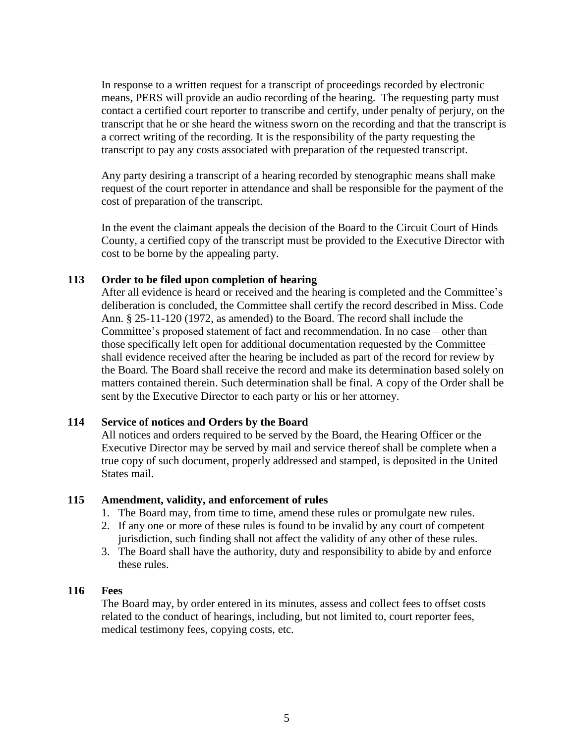In response to a written request for a transcript of proceedings recorded by electronic means, PERS will provide an audio recording of the hearing. The requesting party must contact a certified court reporter to transcribe and certify, under penalty of perjury, on the transcript that he or she heard the witness sworn on the recording and that the transcript is a correct writing of the recording. It is the responsibility of the party requesting the transcript to pay any costs associated with preparation of the requested transcript.

Any party desiring a transcript of a hearing recorded by stenographic means shall make request of the court reporter in attendance and shall be responsible for the payment of the cost of preparation of the transcript.

In the event the claimant appeals the decision of the Board to the Circuit Court of Hinds County, a certified copy of the transcript must be provided to the Executive Director with cost to be borne by the appealing party.

### **113 Order to be filed upon completion of hearing**

After all evidence is heard or received and the hearing is completed and the Committee's deliberation is concluded, the Committee shall certify the record described in Miss. Code Ann. § 25-11-120 (1972, as amended) to the Board. The record shall include the Committee's proposed statement of fact and recommendation. In no case – other than those specifically left open for additional documentation requested by the Committee – shall evidence received after the hearing be included as part of the record for review by the Board. The Board shall receive the record and make its determination based solely on matters contained therein. Such determination shall be final. A copy of the Order shall be sent by the Executive Director to each party or his or her attorney.

#### **114 Service of notices and Orders by the Board**

All notices and orders required to be served by the Board, the Hearing Officer or the Executive Director may be served by mail and service thereof shall be complete when a true copy of such document, properly addressed and stamped, is deposited in the United States mail.

#### **115 Amendment, validity, and enforcement of rules**

- 1. The Board may, from time to time, amend these rules or promulgate new rules.
- 2. If any one or more of these rules is found to be invalid by any court of competent jurisdiction, such finding shall not affect the validity of any other of these rules.
- 3. The Board shall have the authority, duty and responsibility to abide by and enforce these rules.

#### **116 Fees**

The Board may, by order entered in its minutes, assess and collect fees to offset costs related to the conduct of hearings, including, but not limited to, court reporter fees, medical testimony fees, copying costs, etc.